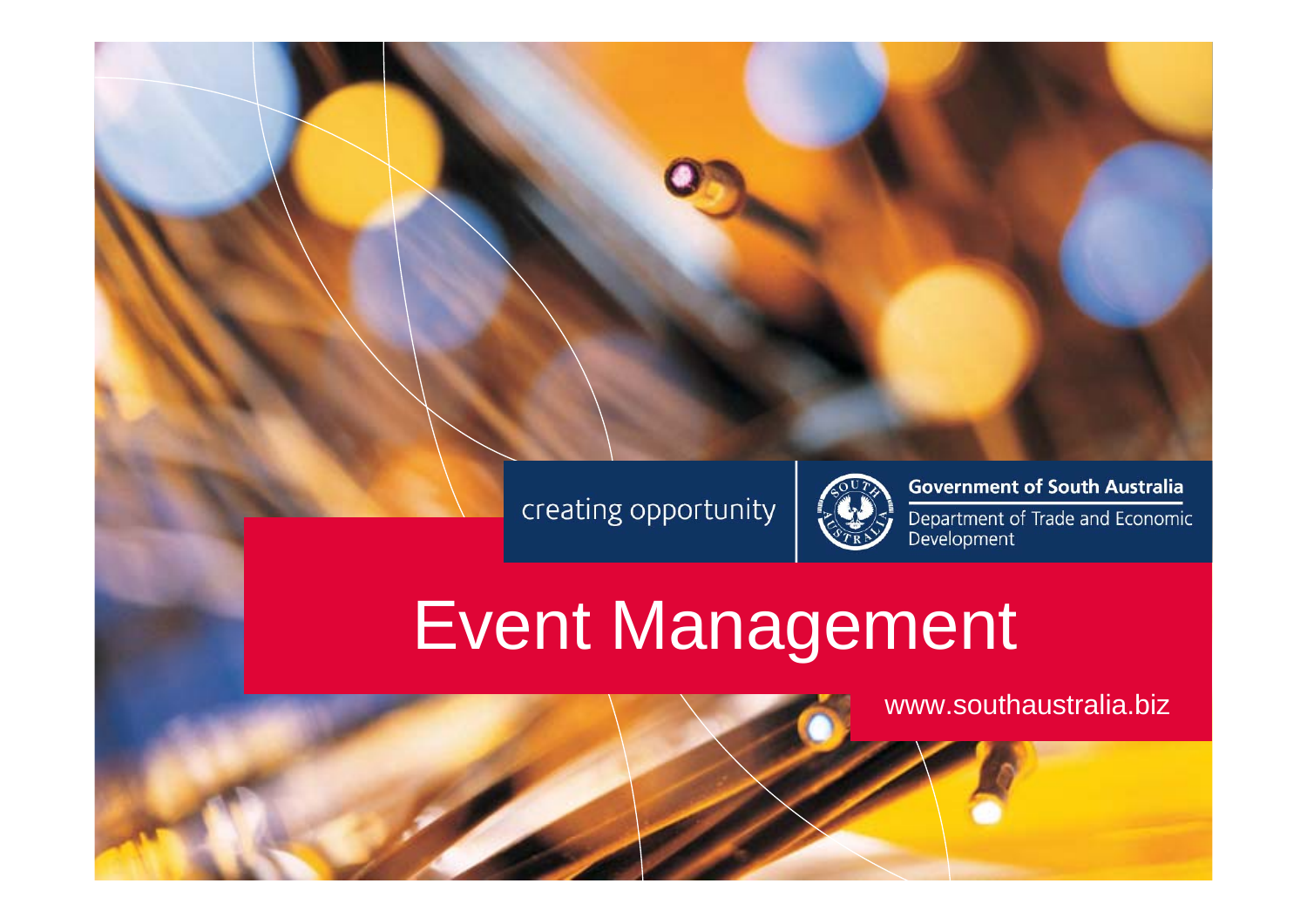

Click to edit Master title style

Click to edit Master text styles

Second level

**The level of the limit** 

Fig. 1. 1999

Fourth level



#### **Government of South Australia**

Department of Trade and Economic<br>Development

# Event Management

www.southaustralia.biz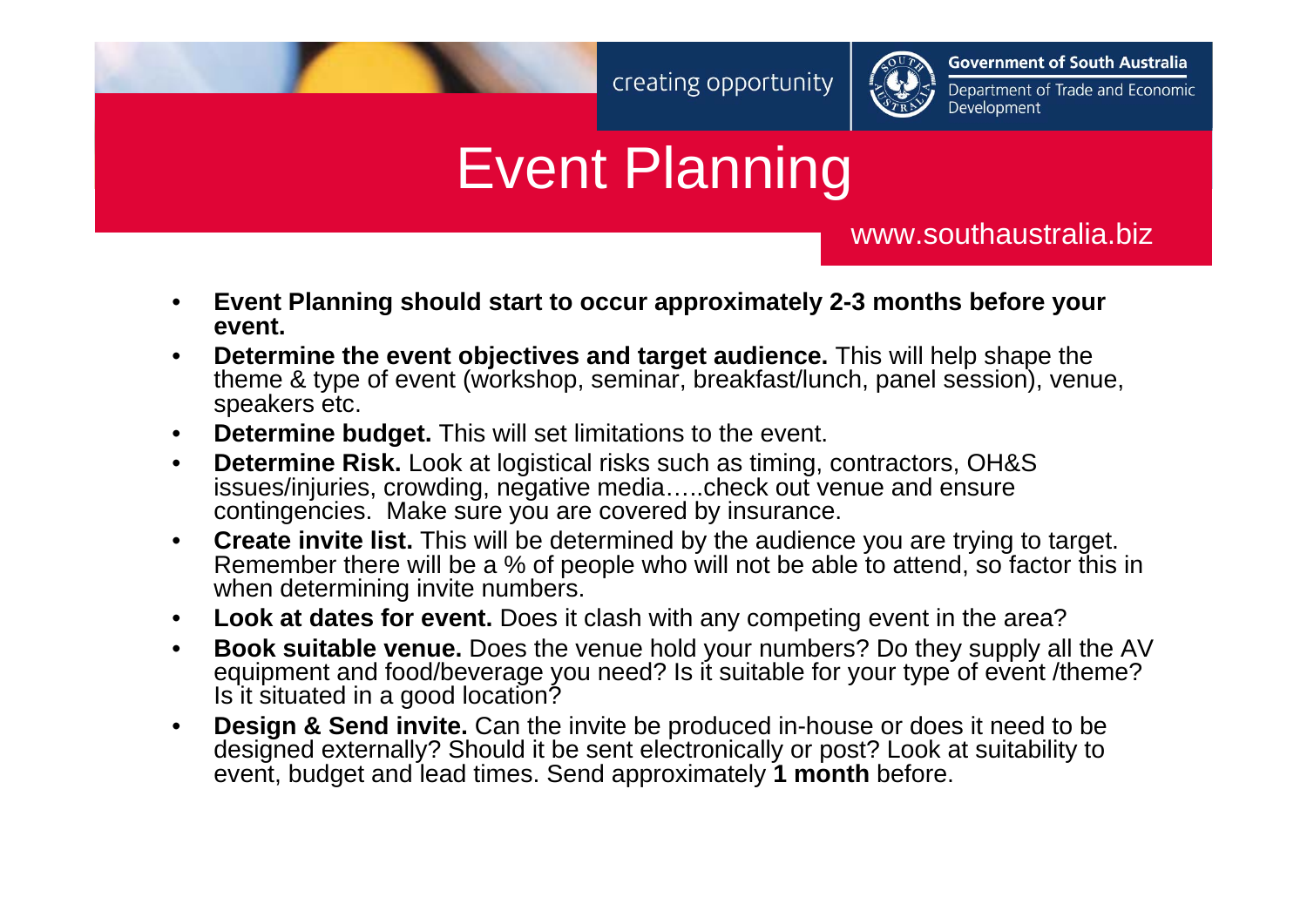

**Government of South Australia** 

Department of Trade and Economic Development

## Event Planning

www.southaustralia.biz

- • **Event Planning should start to occur approximately 2-3 months before your event.**
- • **Determine the event objectives and target audience.** This will help shape the theme & type of event (workshop, seminar, breakfast/lunch, panel session), venue, speakers etc.
- $\bullet$ **Determine budget.** This will set limitations to the event.
- • **Determine Risk.** Look at logistical risks such as timing, contractors, OH&S issues/injuries, crowding, negative media…..check out venue and ensure contingencies. Make sure you are covered by insurance.
- $\bullet$  **Create invite list.** This will be determined by the audience you are trying to target. Remember there will be a % of people who will not be able to attend, so factor this in when determining invite numbers.
- $\bullet$ **Look at dates for event.** Does it clash with any competing event in the area?
- • **Book suitable venue.** Does the venue hold your numbers? Do they supply all the AV equipment and food/beverage you need? Is it suitable for your type of event /theme? Is it situated in a good location?
- • **Design & Send invite.** Can the invite be produced in-house or does it need to be designed externally? Should it be sent electronically or post? Look at suitability to event, budget and lead times. Send approximately **1 month** before.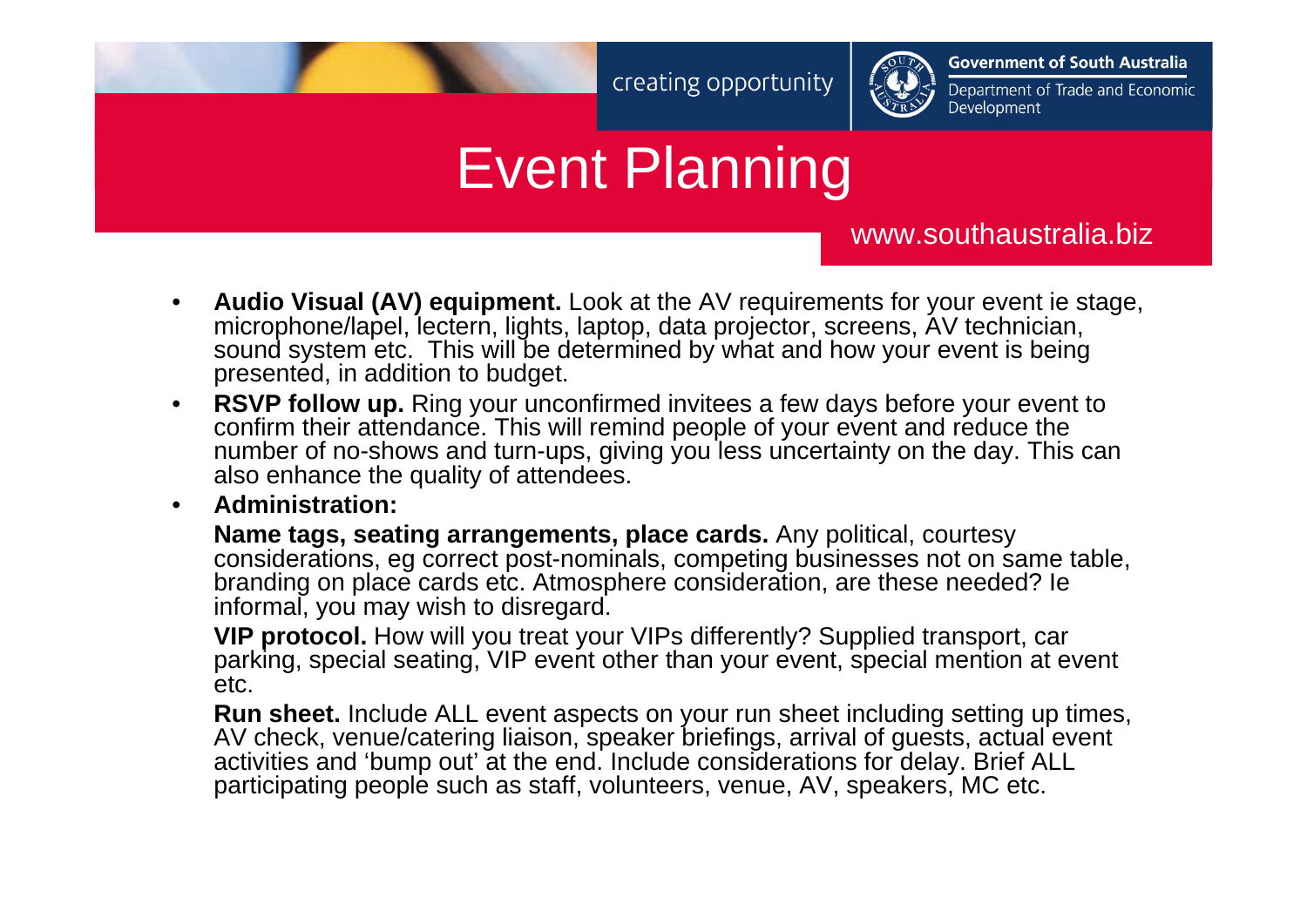

**Government of South Australia** 

Department of Trade and Economic Development

## Event Planning

www.southaustralia.biz

- • **Audio Visual (AV) equipment.** Look at the AV requirements for your event ie stage, microphone/lapel, lectern, lights, laptop, data projector, screens, AV technician, sound system etc. This will be determined by what and how your event is being presented, in addition to budget.
- • **RSVP follow up.** Ring your unconfirmed invitees a few days before your event to confirm their attendance. This will remind people of your event and reduce the number of no-shows and turn-ups, giving you less uncertainty on the day. This can also enhance the quality of attendees.
- •**Administration:**

**Name tags, seating arrangements, place cards.** Any political, courtesy considerations, eg correct post-nominals, competing businesses not on same table, branding on place cards etc. Atmosphere consideration, are these needed? Ie informal, you may wish to disregard.

**VIP protocol.** How will you treat your VIPs differently? Supplied transport, car parking, special seating, VIP event other than your event, special mention at event etc.

**Run sheet.** Include ALL event aspects on your run sheet including setting up times, AV check, venue/catering liaison, speaker briefings, arrival of guests, actual event activities and 'bump out' at the end. Include considerations for delay. Brief ALL participating people such as staff, volunteers, venue, AV, speakers, MC etc.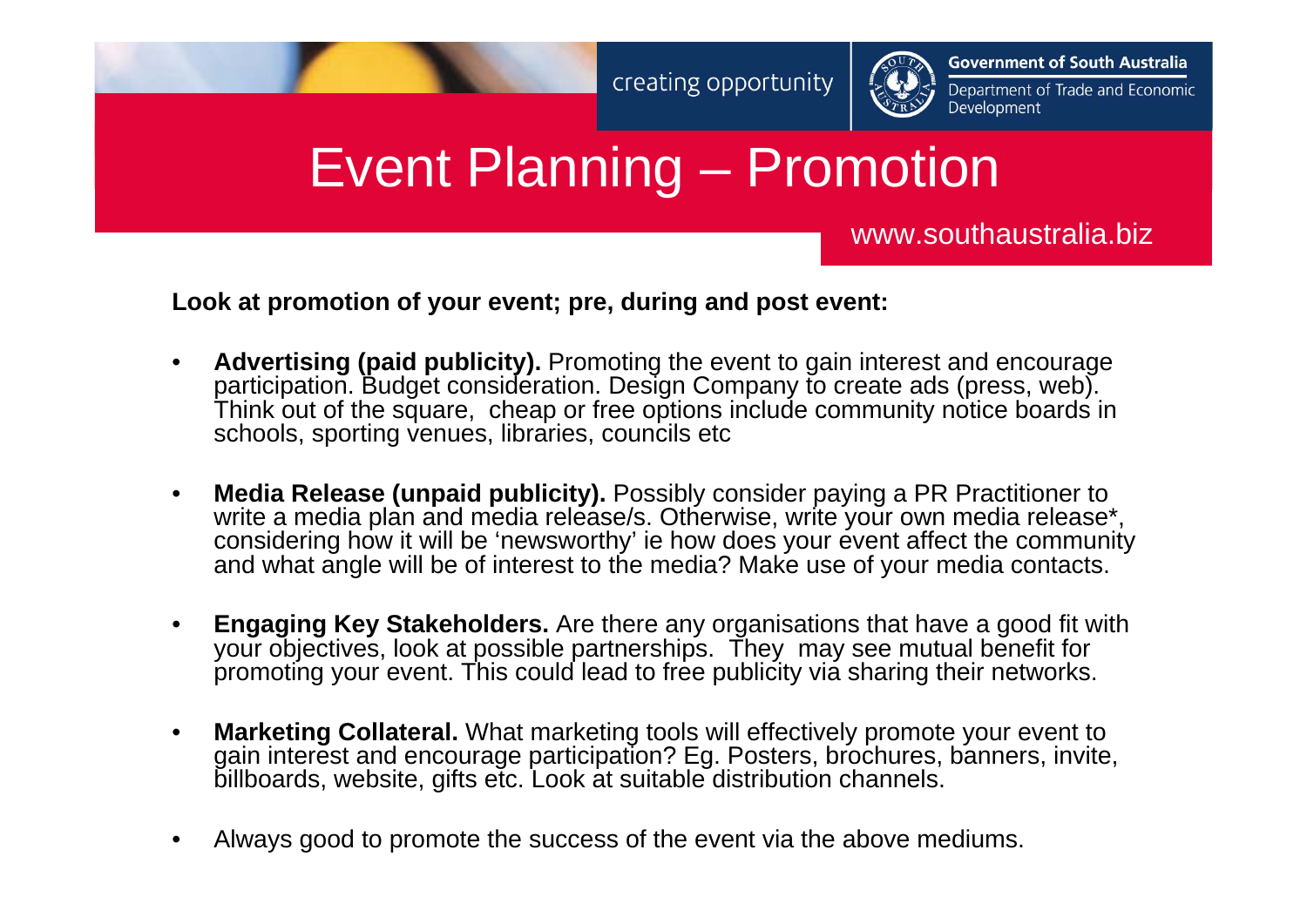

**Government of South Australia** 

Department of Trade and Economic Development

## Event Planning – Promotion

#### www.southaustralia.biz

**Look at promotion of your event; pre, during and post event:**

- • **Advertising (paid publicity).** Promoting the event to gain interest and encourage participation. Budget consideration. Design Company to create ads (press, web). Think out of the square, cheap or free options include community notice boards in schools, sporting venues, libraries, councils etc
- • **Media Release (unpaid publicity).** Possibly consider paying a PR Practitioner to write a media plan and media release/s. Otherwise, write your own media release\*, considering how it will be 'newsworthy' ie how does your event affect the community and what angle will be of interest to the media? Make use of your media contacts.
- • **Engaging Key Stakeholders.** Are there any organisations that have a good fit with your objectives, look at possible partnerships. They may see mutual benefit for promoting your event. This could lead to free publicity via sharing their networks.
- • **Marketing Collateral.** What marketing tools will effectively promote your event to gain interest and encourage participation? Eg. Posters, brochures, banners, invite, billboards, website, gifts etc. Look at suitable distribution channels.
- •Always good to promote the success of the event via the above mediums.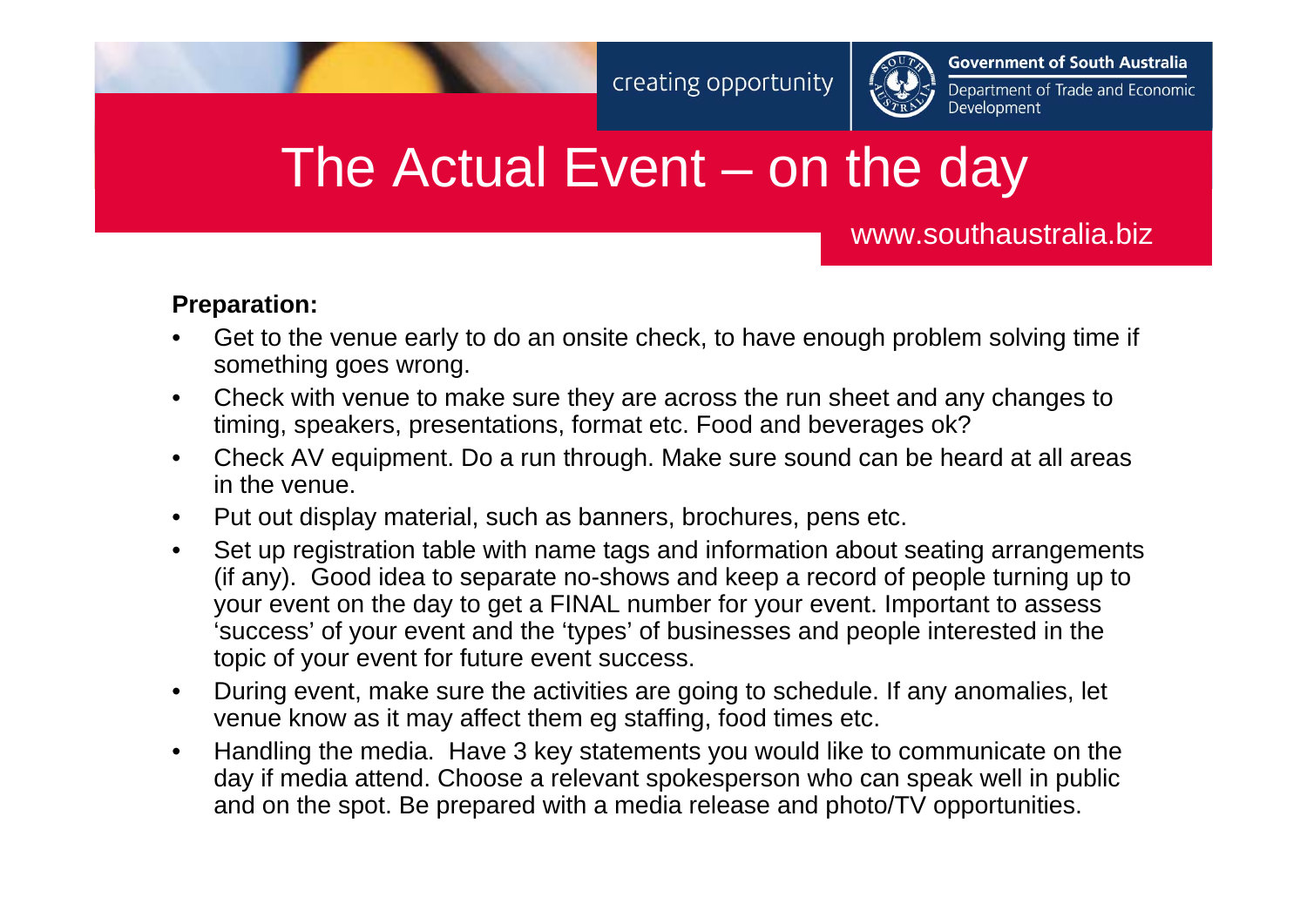

**Government of South Australia** 

Department of Trade and Economic Development

## The Actual Event – on the day

www.southaustralia.biz

#### **Preparation:**

- • Get to the venue early to do an onsite check, to have enough problem solving time if something goes wrong.
- $\bullet$  Check with venue to make sure they are across the run sheet and any changes to timing, speakers, presentations, format etc. Food and beverages ok?
- $\bullet$  Check AV equipment. Do a run through. Make sure sound can be heard at all areas in the venue.
- $\bullet$ Put out display material, such as banners, brochures, pens etc.
- • Set up registration table with name tags and information about seating arrangements (if any). Good idea to separate no-shows and keep a record of people turning up to your event on the day to get a FINAL number for your event. Important to assess 'success' of your event and the 'types' of businesses and people interested in the topic of your event for future event success.
- • During event, make sure the activities are going to schedule. If any anomalies, let venue know as it may affect them eg staffing, food times etc.
- • Handling the media. Have 3 key statements you would like to communicate on the day if media attend. Choose a relevant spokesperson who can speak well in public and on the spot. Be prepared with a media release and photo/TV opportunities.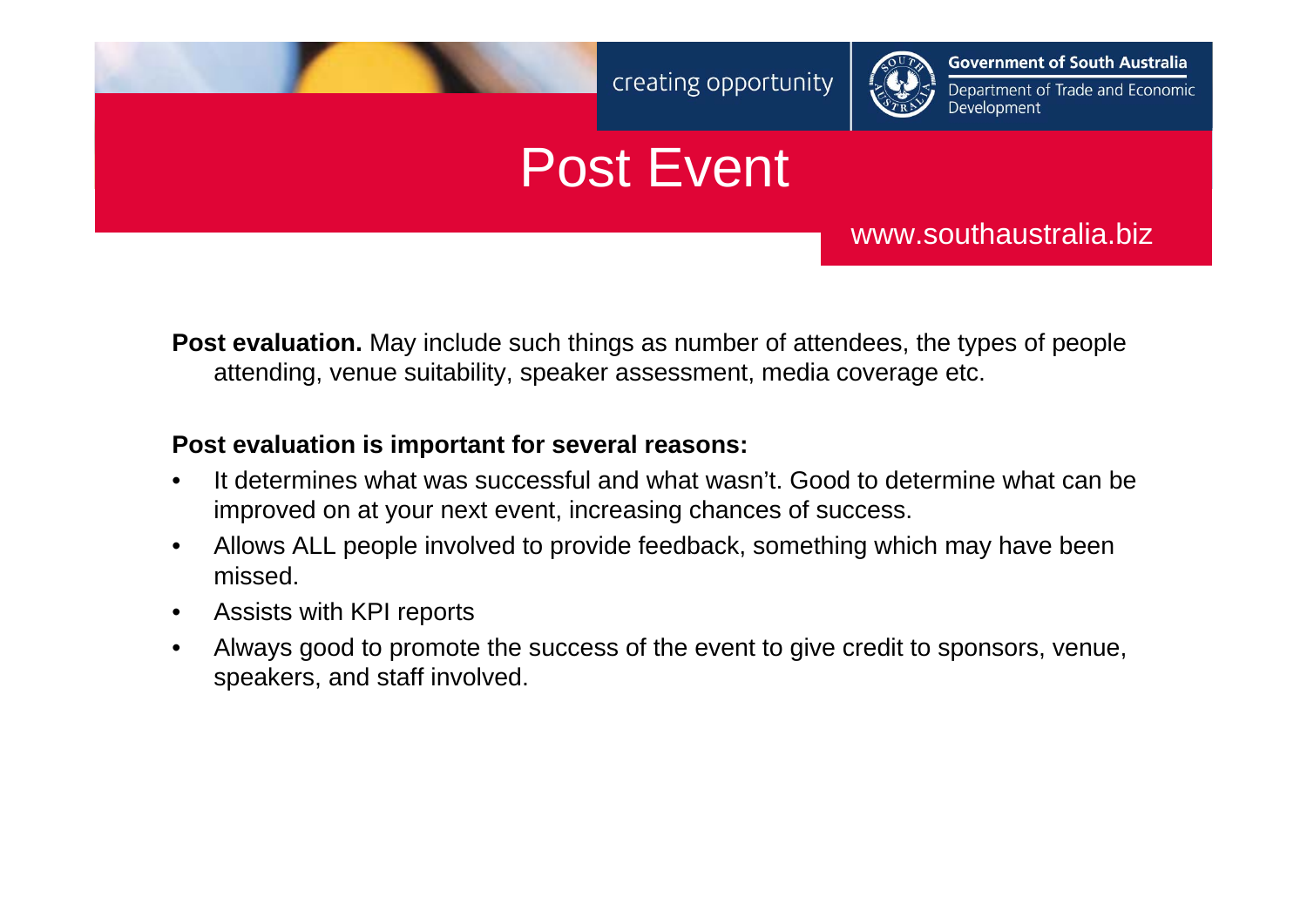

**Government of South Australia** 

#### Department of Trade and Economic Development

## Post Event

www.southaustralia.biz

**Post evaluation.** May include such things as number of attendees, the types of people attending, venue suitability, speaker assessment, media coverage etc.

#### **Post evaluation is important for several reasons:**

- • It determines what was successful and what wasn't. Good to determine what can be improved on at your next event, increasing chances of success.
- • Allows ALL people involved to provide feedback, something which may have been missed.
- $\bullet$ Assists with KPI reports
- • Always good to promote the success of the event to give credit to sponsors, venue, speakers, and staff involved.